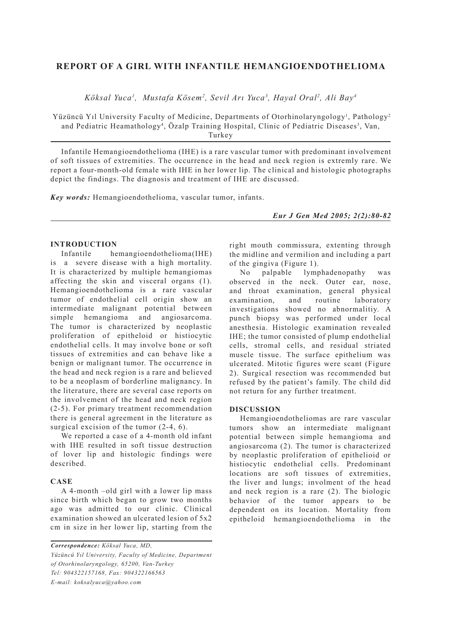# **REPORT OF A GIRL WITH INFANTILE HEMANGIOENDOTHELIOMA**

*Köksal Yuca1 , Mustafa Kösem2 , Sevil Arı Yuca3 , Hayal Oral2 , Ali Bay4*

Yüzüncü Yıl University Faculty of Medicine, Departments of Otorhinolaryngology<sup>1</sup>, Pathology<sup>2</sup> and Pediatric Heamathology<sup>4</sup>, Özalp Training Hospital, Clinic of Pediatric Diseases<sup>3</sup>, Van, Turkey

Infantile Hemangioendothelioma (IHE) is a rare vascular tumor with predominant involvement of soft tissues of extremities. The occurrence in the head and neck region is extremly rare. We report a four-month-old female with IHE in her lower lip. The clinical and histologic photographs depict the findings. The diagnosis and treatment of IHE are discussed.

*Key words:* Hemangioendothelioma, vascular tumor, infants.

*Eur J Gen Med 2005; 2(2):80-82*

#### **INTRODUCTION**

Infantile hemangioendothelioma(IHE) is a severe disease with a high mortality. It is characterized by multiple hemangiomas affecting the skin and visceral organs (1). Hemangioendothelioma is a rare vascular tumor of endothelial cell origin show an intermediate malignant potential between simple hemangioma and angiosarcoma. The tumor is characterized by neoplastic proliferation of epitheloid or histiocytic endothelial cells. It may involve bone or soft tissues of extremities and can behave like a benign or malignant tumor. The occurrence in the head and neck region is a rare and believed to be a neoplasm of borderline malignancy. In the literature, there are several case reports on the involvement of the head and neck region (2-5). For primary treatment recommendation there is general agreement in the literature as surgical excision of the tumor  $(2-4, 6)$ .

We reported a case of a 4-month old infant with IHE resulted in soft tissue destruction of lover lip and histologic findings were described.

## **CASE**

A 4-month –old girl with a lower lip mass since birth which began to grow two months ago was admitted to our clinic. Clinical examination showed an ulcerated lesion of 5x2 cm in size in her lower lip, starting from the

*Correspondence: Köksal Yuca, MD, Yüzüncü Yıl University, Faculty of Medicine, Department of Otorhinolaryngology, 65200, Van-Turkey Tel: 904322157168, Fax: 904322166563 E-mail: koksalyuca@yahoo.com*

right mouth commissura, extenting through the midline and vermilion and including a part of the gingiva (Figure 1).

No palpable lymphadenopathy was observed in the neck. Outer ear, nose, and throat examination, general physical examination, and routine laboratory investigations showed no abnormalitiy. A punch biopsy was performed under local anesthesia. Histologic examination revealed IHE; the tumor consisted of plump endothelial cells, stromal cells, and residual striated muscle tissue. The surface epithelium was ulcerated. Mitotic figures were scant (Figure 2). Surgical resection was recommended but refused by the patient's family. The child did not return for any further treatment.

## **DISCUSSION**

Hemangioendotheliomas are rare vascular tumors show an intermediate malignant potential between simple hemangioma and angiosarcoma (2). The tumor is characterized by neoplastic proliferation of epithelioid or histiocytic endothelial cells. Predominant locations are soft tissues of extremities, the liver and lungs; involment of the head and neck region is a rare (2). The biologic behavior of the tumor appears to be dependent on its location. Mortality from epitheloid hemangioendothelioma in the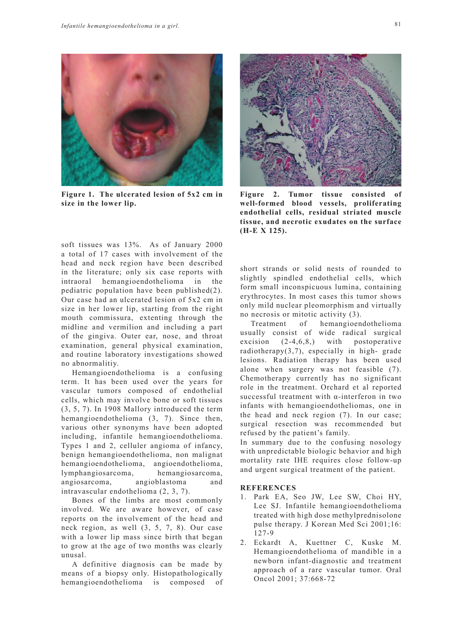

**Figure 1. The ulcerated lesion of 5x2 cm in size in the lower lip.**

soft tissues was 13%. As of January 2000 a total of 17 cases with involvement of the head and neck region have been described in the literature; only six case reports with intraoral hemangioendothelioma in the pediatric population have been published(2). Our case had an ulcerated lesion of 5x2 cm in size in her lower lip, starting from the right mouth commissura, extenting through the midline and vermilion and including a part of the gingiva. Outer ear, nose, and throat examination, general physical examination, and routine laboratory investigations showed no abnormalitiy.

Hemangioendothelioma is a confusing term. It has been used over the years for vascular tumors composed of endothelial cells, which may involve bone or soft tissues (3, 5, 7). In 1908 Mallory introduced the term hemangioendothelioma (3, 7). Since then, various other synonyms have been adopted including, infantile hemangioendothelioma. Types 1 and 2, celluler angioma of infancy, benign hemangioendothelioma, non malignat hemangioendothelioma, angioendothelioma, lymphangiosarcoma, hemangiosarcoma, angiosarcoma, angioblastoma and intravascular endothelioma (2, 3, 7).

Bones of the limbs are most commonly involved. We are aware however, of case reports on the involvement of the head and neck region, as well (3, 5, 7, 8). Our case with a lower lip mass since birth that began to grow at the age of two months was clearly unusal.

A definitive diagnosis can be made by means of a biopsy only. Histopathologically hemangioendothelioma is composed of



Figure 2. Tumor tissue consisted **well-formed blood vessels, proliferating endothelial cells, residual striated muscle tissue, and necrotic exudates on the surface (H-E X 125).**

short strands or solid nests of rounded to slightly spindled endothelial cells, which form small inconspicuous lumina, containing erythrocytes. In most cases this tumor shows only mild nuclear pleomorphism and virtually no necrosis or mitotic activity (3).

Treatment of hemangioendothelioma usually consist of wide radical surgical excision (2-4,6,8,) with postoperative radiotherapy(3,7), especially in high- grade lesions. Radiation therapy has been used alone when surgery was not feasible (7). Chemotherapy currently has no significant role in the treatment. Orchard et al reported successful treatment with α-interferon in two infants with hemangioendotheliomas, one in the head and neck region (7). In our case; surgical resection was recommended but refused by the patient's family.

In summary due to the confusing nosology with unpredictable biologic behavior and high mortality rate IHE requires close follow-up and urgent surgical treatment of the patient.

#### **REFERENCES**

- 1. Park EA, Seo JW, Lee SW, Choi HY, Lee SJ. Infantile hemangioendothelioma treated with high dose methylprednisolone pulse therapy. J Korean Med Sci 2001;16: 127-9
- 2. Eckardt A, Kuettner C, Kuske M. Hemangioendothelioma of mandible in a newborn infant-diagnostic and treatment approach of a rare vascular tumor. Oral Oncol 2001; 37:668-72